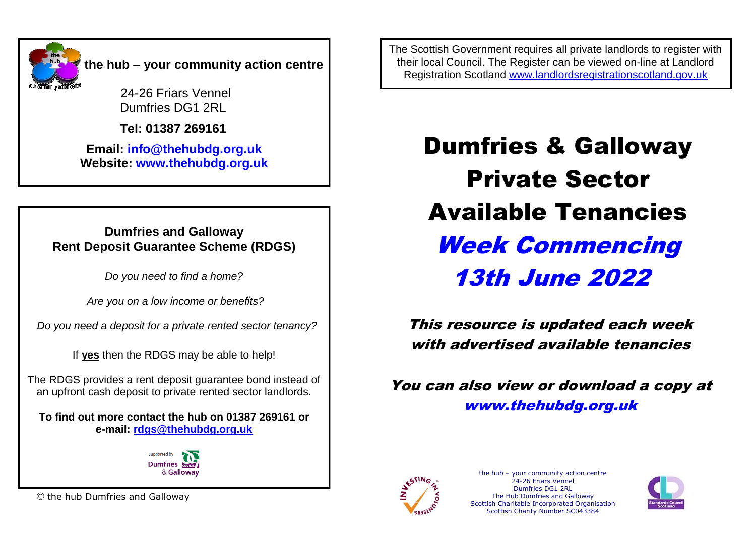

24-26 Friars Vennel Dumfries DG1 2RL

 **Tel: 01387 269161**

**Email: [info@thehubdg.org.uk](mailto:info@thehubdg.org.uk) Website: www.thehubdg.org.uk**

### **Dumfries and Galloway Rent Deposit Guarantee Scheme (RDGS)**

*Do you need to find a home?*

*Are you on a low income or benefits?*

 *Do you need a deposit for a private rented sector tenancy?*

If **yes** then the RDGS may be able to help!

The RDGS provides a rent deposit guarantee bond instead of an upfront cash deposit to private rented sector landlords.

**To find out more contact the hub on 01387 269161 or e-mail: [rdgs@thehubdg.org.uk](mailto:rdgs@thehubdg.org.uk)**



© the hub Dumfries and Galloway

The Scottish Government requires all private landlords to register with their local Council. The Register can be viewed on-line at Landlord Registration Scotland [www.landlordsregistrationscotland.gov.uk](http://www.landlordsregistrationscotland.gov.uk/)

> Dumfries & Galloway Private Sector Available Tenancies Week Commencing 13th June 2022

This resource is updated each week with advertised available tenancies

You can also view or download a copy at [www.thehubdg.org.uk](http://www.thehubdg.org.uk/)



the hub – your community action centre 24-26 Friars Vennel Dumfries DG1 2RL The Hub Dumfries and Galloway Scottish Charitable Incorporated Organisation Scottish Charity Number SC043384

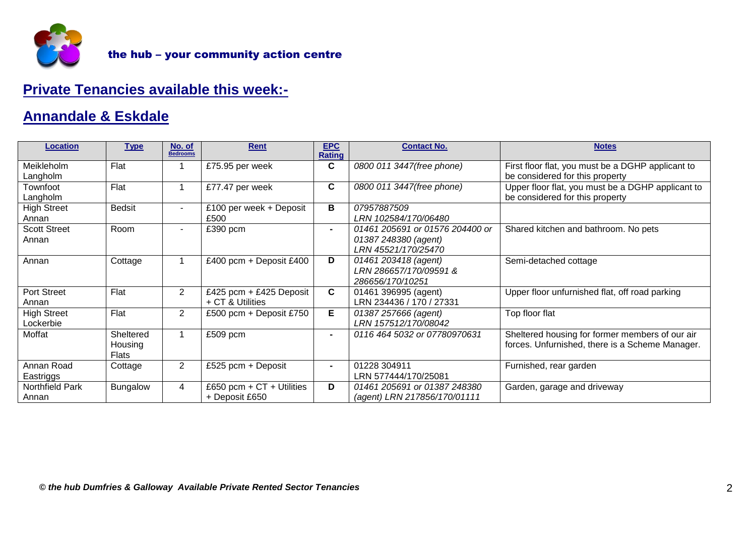

# **Private Tenancies available this week:-**

## **Annandale & Eskdale**

| <b>Location</b>                 | <b>Type</b>                          | No. of<br><b>Bedrooms</b> | <b>Rent</b>                                   | <b>EPC</b><br><b>Rating</b> | <b>Contact No.</b>                                                             | <b>Notes</b>                                                                                       |
|---------------------------------|--------------------------------------|---------------------------|-----------------------------------------------|-----------------------------|--------------------------------------------------------------------------------|----------------------------------------------------------------------------------------------------|
| Meikleholm<br>Langholm          | Flat                                 |                           | £75.95 per week                               | C                           | 0800 011 3447(free phone)                                                      | First floor flat, you must be a DGHP applicant to<br>be considered for this property               |
| Townfoot<br>Langholm            | Flat                                 |                           | £77.47 per week                               | $\mathbf c$                 | 0800 011 3447(free phone)                                                      | Upper floor flat, you must be a DGHP applicant to<br>be considered for this property               |
| <b>High Street</b><br>Annan     | <b>Bedsit</b>                        |                           | £100 per week + Deposit<br>£500               | В                           | 07957887509<br>LRN 102584/170/06480                                            |                                                                                                    |
| <b>Scott Street</b><br>Annan    | Room                                 | $\blacksquare$            | £390 pcm                                      | $\sim$                      | 01461 205691 or 01576 204400 or<br>01387 248380 (agent)<br>LRN 45521/170/25470 | Shared kitchen and bathroom. No pets                                                               |
| Annan                           | Cottage                              |                           | £400 pcm + Deposit £400                       | D                           | 01461 203418 (agent)<br>LRN 286657/170/09591 &<br>286656/170/10251             | Semi-detached cottage                                                                              |
| <b>Port Street</b><br>Annan     | Flat                                 | $\overline{2}$            | £425 pcm + £425 Deposit<br>+ CT & Utilities   | $\mathbf c$                 | 01461 396995 (agent)<br>LRN 234436 / 170 / 27331                               | Upper floor unfurnished flat, off road parking                                                     |
| <b>High Street</b><br>Lockerbie | Flat                                 | 2                         | £500 pcm + Deposit £750                       | Е.                          | 01387 257666 (agent)<br>LRN 157512/170/08042                                   | Top floor flat                                                                                     |
| Moffat                          | Sheltered<br>Housing<br><b>Flats</b> |                           | £509 pcm                                      |                             | 0116 464 5032 or 07780970631                                                   | Sheltered housing for former members of our air<br>forces. Unfurnished, there is a Scheme Manager. |
| Annan Road<br>Eastriggs         | Cottage                              | $\overline{2}$            | £525 pcm + Deposit                            |                             | 01228 304911<br>LRN 577444/170/25081                                           | Furnished, rear garden                                                                             |
| <b>Northfield Park</b><br>Annan | Bungalow                             | 4                         | £650 pcm + $CT +$ Utilities<br>+ Deposit £650 | D                           | 01461 205691 or 01387 248380<br>(agent) LRN 217856/170/01111                   | Garden, garage and driveway                                                                        |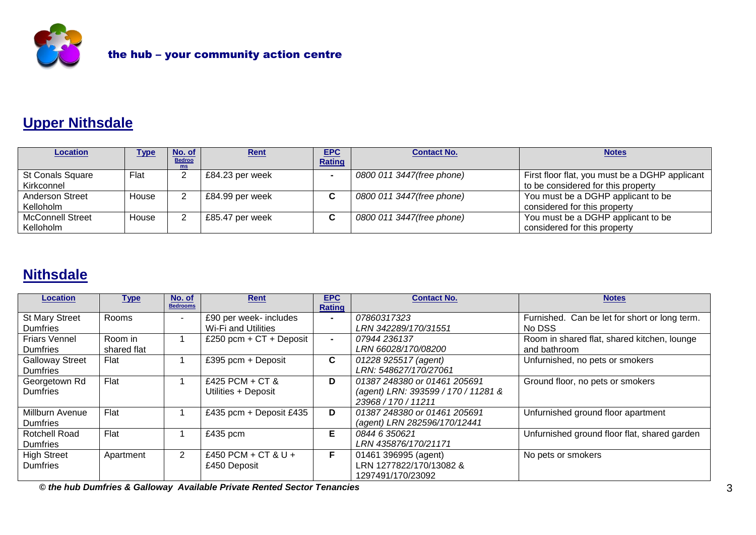

# **Upper Nithsdale**

| <b>Location</b>         | Type  | No. of              | Rent            | <b>EPC</b>    | <b>Contact No.</b>        | <b>Notes</b>                                   |
|-------------------------|-------|---------------------|-----------------|---------------|---------------------------|------------------------------------------------|
|                         |       | <b>Bedroo</b><br>ms |                 | <b>Rating</b> |                           |                                                |
| <b>St Conals Square</b> | Flat  |                     | £84.23 per week |               | 0800 011 3447(free phone) | First floor flat, you must be a DGHP applicant |
| Kirkconnel              |       |                     |                 |               |                           | to be considered for this property             |
| <b>Anderson Street</b>  | House |                     | £84.99 per week | C             | 0800 011 3447(free phone) | You must be a DGHP applicant to be             |
| Kelloholm               |       |                     |                 |               |                           | considered for this property                   |
| <b>McConnell Street</b> | House |                     | £85.47 per week | C             | 0800 011 3447(free phone) | You must be a DGHP applicant to be             |
| Kelloholm               |       |                     |                 |               |                           | considered for this property                   |

# **Nithsdale**

| <b>Location</b>        | <u>Type</u> | No. of<br><b>Bedrooms</b> | <b>Rent</b>               | <b>EPC</b><br><b>Rating</b> | <b>Contact No.</b>                  | <b>Notes</b>                                  |
|------------------------|-------------|---------------------------|---------------------------|-----------------------------|-------------------------------------|-----------------------------------------------|
| <b>St Mary Street</b>  | Rooms       |                           | £90 per week- includes    | $\blacksquare$              | 07860317323                         | Furnished. Can be let for short or long term. |
| Dumfries               |             |                           | Wi-Fi and Utilities       |                             | LRN 342289/170/31551                | No DSS                                        |
| <b>Friars Vennel</b>   | Room in     |                           | £250 pcm + $CT +$ Deposit | $\blacksquare$              | 07944 236137                        | Room in shared flat, shared kitchen, lounge   |
| <b>Dumfries</b>        | shared flat |                           |                           |                             | LRN 66028/170/08200                 | and bathroom                                  |
| <b>Galloway Street</b> | Flat        |                           | £395 pcm + Deposit        | C.                          | 01228 925517 (agent)                | Unfurnished, no pets or smokers               |
| <b>Dumfries</b>        |             |                           |                           |                             | LRN: 548627/170/27061               |                                               |
| Georgetown Rd          | Flat        |                           | £425 PCM + CT &           | D                           | 01387 248380 or 01461 205691        | Ground floor, no pets or smokers              |
| <b>Dumfries</b>        |             |                           | Utilities + Deposit       |                             | (agent) LRN: 393599 / 170 / 11281 & |                                               |
|                        |             |                           |                           |                             | 23968 / 170 / 11211                 |                                               |
| Millburn Avenue        | Flat        |                           | £435 pcm + Deposit £435   | D                           | 01387 248380 or 01461 205691        | Unfurnished ground floor apartment            |
| <b>Dumfries</b>        |             |                           |                           |                             | (agent) LRN 282596/170/12441        |                                               |
| Rotchell Road          | Flat        |                           | £435 pcm                  | Е                           | 0844 6 350621                       | Unfurnished ground floor flat, shared garden  |
| <b>Dumfries</b>        |             |                           |                           |                             | LRN 435876/170/21171                |                                               |
| <b>High Street</b>     | Apartment   | 2                         | £450 PCM + CT & U +       | F.                          | 01461 396995 (agent)                | No pets or smokers                            |
| <b>Dumfries</b>        |             |                           | £450 Deposit              |                             | LRN 1277822/170/13082 &             |                                               |
|                        |             |                           |                           |                             | 1297491/170/23092                   |                                               |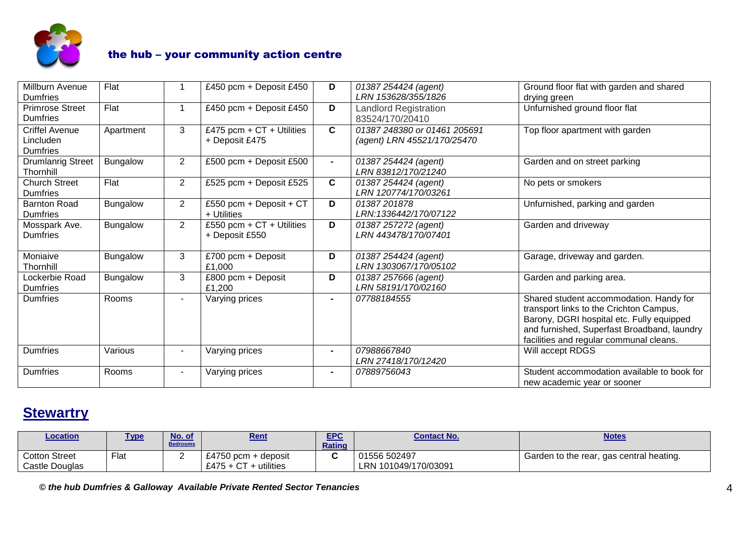

| Millburn Avenue<br><b>Dumfries</b>                    | Flat            |                | £450 pcm + Deposit £450                       | D              | 01387 254424 (agent)<br>LRN 153628/355/1826                 | Ground floor flat with garden and shared<br>drying green                                                                                                                                                                  |
|-------------------------------------------------------|-----------------|----------------|-----------------------------------------------|----------------|-------------------------------------------------------------|---------------------------------------------------------------------------------------------------------------------------------------------------------------------------------------------------------------------------|
| <b>Primrose Street</b><br><b>Dumfries</b>             | Flat            |                | £450 pcm + Deposit £450                       | D              | <b>Landlord Registration</b><br>83524/170/20410             | Unfurnished ground floor flat                                                                                                                                                                                             |
| <b>Criffel Avenue</b><br>Lincluden<br><b>Dumfries</b> | Apartment       | 3              | £475 pcm + $CT$ + Utilities<br>+ Deposit £475 | C              | 01387 248380 or 01461 205691<br>(agent) LRN 45521/170/25470 | Top floor apartment with garden                                                                                                                                                                                           |
| <b>Drumlanrig Street</b><br>Thornhill                 | <b>Bungalow</b> | $2^{\circ}$    | £500 pcm + Deposit £500                       | $\blacksquare$ | 01387 254424 (agent)<br>LRN 83812/170/21240                 | Garden and on street parking                                                                                                                                                                                              |
| <b>Church Street</b><br><b>Dumfries</b>               | Flat            | $\overline{2}$ | £525 pcm + Deposit £525                       | $\mathbf{C}$   | 01387 254424 (agent)<br><b>LRN 120774/170/03261</b>         | No pets or smokers                                                                                                                                                                                                        |
| <b>Barnton Road</b><br><b>Dumfries</b>                | <b>Bungalow</b> | $\overline{2}$ | £550 pcm + Deposit + $CT$<br>+ Utilities      | D              | 01387201878<br>LRN:1336442/170/07122                        | Unfurnished, parking and garden                                                                                                                                                                                           |
| Mosspark Ave.<br><b>Dumfries</b>                      | Bungalow        | $\overline{2}$ | £550 pcm + $CT$ + Utilities<br>+ Deposit £550 | D              | 01387 257272 (agent)<br><b>LRN 443478/170/07401</b>         | Garden and driveway                                                                                                                                                                                                       |
| Moniaive<br>Thornhill                                 | <b>Bungalow</b> | 3              | £700 pcm + Deposit<br>£1,000                  | D              | 01387 254424 (agent)<br>LRN 1303067/170/05102               | Garage, driveway and garden.                                                                                                                                                                                              |
| Lockerbie Road<br><b>Dumfries</b>                     | <b>Bungalow</b> | 3              | £800 pcm + Deposit<br>£1,200                  | D              | 01387 257666 (agent)<br>LRN 58191/170/02160                 | Garden and parking area.                                                                                                                                                                                                  |
| <b>Dumfries</b>                                       | Rooms           |                | Varying prices                                | $\blacksquare$ | 07788184555                                                 | Shared student accommodation. Handy for<br>transport links to the Crichton Campus,<br>Barony, DGRI hospital etc. Fully equipped<br>and furnished, Superfast Broadband, laundry<br>facilities and regular communal cleans. |
| <b>Dumfries</b>                                       | Various         |                | Varying prices                                | $\blacksquare$ | 07988667840<br>LRN 27418/170/12420                          | Will accept RDGS                                                                                                                                                                                                          |
| <b>Dumfries</b>                                       | Rooms           |                | Varying prices                                | $\blacksquare$ | 07889756043                                                 | Student accommodation available to book for<br>new academic year or sooner                                                                                                                                                |

# **Stewartry**

| <u>Location</u>                 | <u>Type</u> | No. of<br><b>Bedrooms</b> | <u>Rent</u>                                       | <b>EPC</b><br>Rating | <b>Contact No.</b>                   | <b>Notes</b>                             |
|---------------------------------|-------------|---------------------------|---------------------------------------------------|----------------------|--------------------------------------|------------------------------------------|
| Cotton Street<br>Castle Douglas | Flot<br>ιαι | -                         | £4750 pcm + deposit<br>£475 + $CT$<br>utilities - |                      | 01556 502497<br>LRN 101049/170/03091 | Garden to the rear, gas central heating. |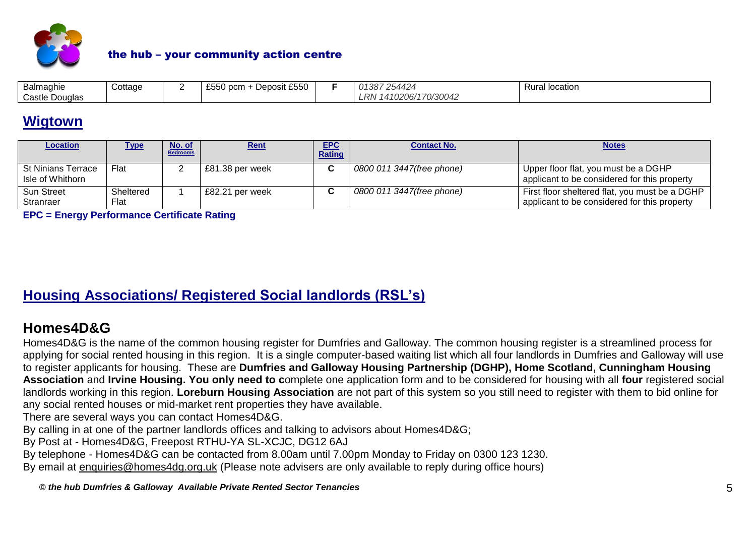

| Balmaghie         | Cottage | $\sim$ $\sim$ $\sim$<br>$\sim$ $\sim$ $\sim$ $\sim$<br>iit £550<br>Deposit<br>ocm ا<br>∠∪∪ | 01387254424           | location<br>Rura' |
|-------------------|---------|--------------------------------------------------------------------------------------------|-----------------------|-------------------|
| Castle<br>Douglas |         |                                                                                            | 410206/170/30042<br>R |                   |

## **Wigtown**

| <b>Location</b>                        | <u>Type</u>       | No. of<br><b>Bedrooms</b> | Rent            | <b>EPC</b><br>Rating | <b>Contact No.</b>        | <b>Notes</b>                                                                                   |
|----------------------------------------|-------------------|---------------------------|-----------------|----------------------|---------------------------|------------------------------------------------------------------------------------------------|
| St Ninians Terrace<br>Isle of Whithorn | Flat              |                           | £81.38 per week | ◠                    | 0800 011 3447(free phone) | Upper floor flat, you must be a DGHP<br>applicant to be considered for this property           |
| <b>Sun Street</b><br>Stranraer         | Sheltered<br>Flat |                           | £82.21 per week | ~                    | 0800 011 3447(free phone) | First floor sheltered flat, you must be a DGHP<br>applicant to be considered for this property |

**EPC = Energy Performance Certificate Rating**

### **Housing Associations/ Registered Social landlords (RSL's)**

### **Homes4D&G**

Homes4D&G is the name of the common housing register for Dumfries and Galloway. The common housing register is a streamlined process for applying for social rented housing in this region. It is a single computer-based waiting list which all four landlords in Dumfries and Galloway will use to register applicants for housing. These are **[Dumfries and Galloway Housing Partnership](http://www.dghp.org.uk/) (DGHP), [Home Scotland,](http://www.homegroup.org.uk/) Cunningham Housing Association** and **[Irvine Housing.](http://www.riverside.org.uk/scotland/south_west.aspx) You only need to c**omplete one application form and to be considered for housing with all **four** registered social landlords working in this region. **Loreburn Housing Association** are not part of this system so you still need to register with them to bid online for any social rented houses or mid-market rent properties they have available.

There are several ways you can contact Homes4D&G.

By calling in at one of the partner landlords offices and talking to advisors about Homes4D&G;

By Post at - Homes4D&G, Freepost RTHU-YA SL-XCJC, DG12 6AJ

By telephone - Homes4D&G can be contacted from 8.00am until 7.00pm Monday to Friday on 0300 123 1230.

By email at [enquiries@homes4dg.org.uk](mailto:enquiries@homes4dg.org.uk) (Please note advisers are only available to reply during office hours)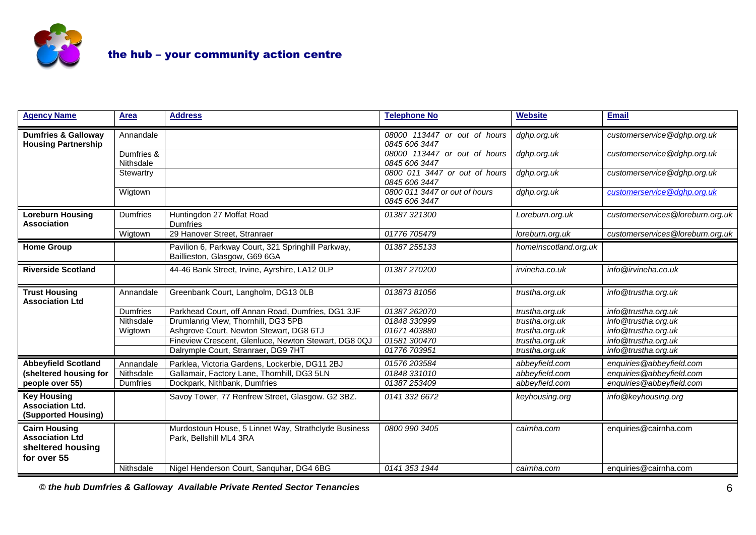

| <b>Agency Name</b>                                                                 | <b>Area</b>             | <b>Address</b>                                                                      | <b>Telephone No</b>                            | <b>Website</b>        | <b>Email</b>                     |
|------------------------------------------------------------------------------------|-------------------------|-------------------------------------------------------------------------------------|------------------------------------------------|-----------------------|----------------------------------|
| <b>Dumfries &amp; Galloway</b><br><b>Housing Partnership</b>                       | Annandale               |                                                                                     | 08000 113447 or out of hours<br>0845 606 3447  | dghp.org.uk           | customerservice@dghp.org.uk      |
|                                                                                    | Dumfries &<br>Nithsdale |                                                                                     | 08000 113447 or out of hours<br>0845 606 3447  | dghp.org.uk           | customerservice@dghp.org.uk      |
|                                                                                    | Stewartry               |                                                                                     | 0800 011 3447 or out of hours<br>0845 606 3447 | dghp.org.uk           | customerservice@dghp.org.uk      |
|                                                                                    | Wigtown                 |                                                                                     | 0800 011 3447 or out of hours<br>0845 606 3447 | dghp.org.uk           | customerservice@dghp.org.uk      |
| <b>Loreburn Housing</b><br><b>Association</b>                                      | <b>Dumfries</b>         | Huntingdon 27 Moffat Road<br><b>Dumfries</b>                                        | 01387 321300                                   | Loreburn.org.uk       | customerservices@loreburn.org.uk |
|                                                                                    | Wigtown                 | 29 Hanover Street, Stranraer                                                        | 01776 705479                                   | loreburn.org.uk       | customerservices@loreburn.org.uk |
| <b>Home Group</b>                                                                  |                         | Pavilion 6, Parkway Court, 321 Springhill Parkway,<br>Baillieston, Glasgow, G69 6GA | 01387255133                                    | homeinscotland.org.uk |                                  |
| <b>Riverside Scotland</b>                                                          |                         | 44-46 Bank Street, Irvine, Ayrshire, LA12 OLP                                       | 01387270200                                    | irvineha.co.uk        | info@irvineha.co.uk              |
| <b>Trust Housing</b><br><b>Association Ltd</b>                                     | Annandale               | Greenbank Court, Langholm, DG13 0LB                                                 | 01387381056                                    | trustha.org.uk        | info@trustha.org.uk              |
|                                                                                    | <b>Dumfries</b>         | Parkhead Court, off Annan Road, Dumfries, DG1 3JF                                   | 01387262070                                    | trustha.org.uk        | info@trustha.org.uk              |
|                                                                                    | Nithsdale               | Drumlanrig View, Thornhill, DG3 5PB                                                 | 01848 330999                                   | trustha.org.uk        | info@trustha.org.uk              |
|                                                                                    | Wigtown                 | Ashgrove Court, Newton Stewart, DG8 6TJ                                             | 01671 403880                                   | trustha.org.uk        | info@trustha.org.uk              |
|                                                                                    |                         | Fineview Crescent, Glenluce, Newton Stewart, DG8 0QJ                                | 01581 300470                                   | trustha.org.uk        | info@trustha.org.uk              |
|                                                                                    |                         | Dalrymple Court, Stranraer, DG9 7HT                                                 | 01776 703951                                   | trustha.org.uk        | info@trustha.org.uk              |
| <b>Abbeyfield Scotland</b>                                                         | Annandale               | Parklea, Victoria Gardens, Lockerbie, DG11 2BJ                                      | 01576 203584                                   | abbeyfield.com        | enquiries@abbeyfield.com         |
| (sheltered housing for                                                             | Nithsdale               | Gallamair, Factory Lane, Thornhill, DG3 5LN                                         | 01848 331010                                   | abbeyfield.com        | enquiries@abbeyfield.com         |
| people over 55)                                                                    | <b>Dumfries</b>         | Dockpark, Nithbank, Dumfries                                                        | 01387253409                                    | abbeyfield.com        | enquiries@abbeyfield.com         |
| <b>Key Housing</b><br><b>Association Ltd.</b><br>(Supported Housing)               |                         | Savoy Tower, 77 Renfrew Street, Glasgow. G2 3BZ.                                    | 0141 332 6672                                  | keyhousing.org        | info@keyhousing.org              |
| <b>Cairn Housing</b><br><b>Association Ltd</b><br>sheltered housing<br>for over 55 |                         | Murdostoun House, 5 Linnet Way, Strathclyde Business<br>Park, Bellshill ML4 3RA     | 0800 990 3405                                  | cairnha.com           | enquiries@cairnha.com            |
|                                                                                    | Nithsdale               | Nigel Henderson Court, Sanquhar, DG4 6BG                                            | 0141 353 1944                                  | cairnha.com           | enquiries@cairnha.com            |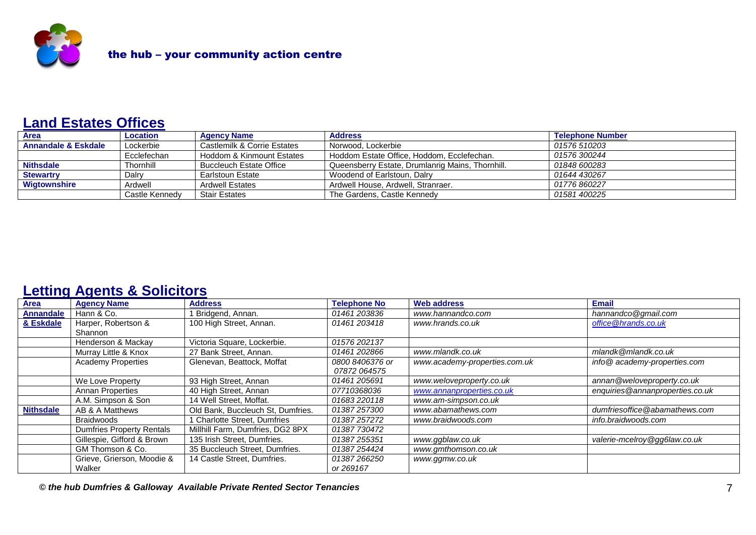

### **Land Estates Offices**

| <b>Area</b>         | <b>Location</b> | <b>Agency Name</b>             | <b>Address</b>                                   | <b>Telephone Number</b> |
|---------------------|-----------------|--------------------------------|--------------------------------------------------|-------------------------|
| Annandale & Eskdale | Lockerbie       | Castlemilk & Corrie Estates    | Norwood, Lockerbie                               | 01576 510203            |
|                     | Ecclefechan     | Hoddom & Kinmount Estates      | Hoddom Estate Office, Hoddom, Ecclefechan.       | 01576 300244            |
| <b>Nithsdale</b>    | Thornhill       | <b>Buccleuch Estate Office</b> | Queensberry Estate, Drumlanrig Mains, Thornhill. | 01848 600283            |
| <b>Stewartry</b>    | Dalry           | Earlstoun Estate               | Woodend of Earlstoun, Dalry                      | 01644 430267            |
| <b>Wigtownshire</b> | Ardwell         | <b>Ardwell Estates</b>         | Ardwell House, Ardwell, Stranraer.               | 01776 860227            |
|                     | Castle Kennedy  | <b>Stair Estates</b>           | The Gardens, Castle Kennedy                      | 01581 400225            |

### **Letting Agents & Solicitors**

| Area             | <b>Agency Name</b>               | <b>Address</b>                    | <b>Telephone No</b> | <b>Web address</b>            | Email                           |
|------------------|----------------------------------|-----------------------------------|---------------------|-------------------------------|---------------------------------|
| <b>Annandale</b> | Hann & Co.                       | Bridgend, Annan.                  | 01461 203836        | www.hannandco.com             | hannandco@gmail.com             |
| & Eskdale        | Harper, Robertson &              | 100 High Street, Annan.           | 01461 203418        | www.hrands.co.uk              | office @hrands.co.uk            |
|                  | Shannon                          |                                   |                     |                               |                                 |
|                  | Henderson & Mackay               | Victoria Square, Lockerbie.       | 01576 202137        |                               |                                 |
|                  | Murray Little & Knox             | 27 Bank Street, Annan.            | 01461 202866        | www.mlandk.co.uk              | mlandk@mlandk.co.uk             |
|                  | <b>Academy Properties</b>        | Glenevan, Beattock, Moffat        | 0800 8406376 or     | www.academy-properties.com.uk | info@academy-properties.com     |
|                  |                                  |                                   | 07872 064575        |                               |                                 |
|                  | We Love Property                 | 93 High Street, Annan             | 01461 205691        | www.weloveproperty.co.uk      | annan@weloveproperty.co.uk      |
|                  | <b>Annan Properties</b>          | 40 High Street, Annan             | 07710368036         | www.annanproperties.co.uk     | enquiries@annanproperties.co.uk |
|                  | A.M. Simpson & Son               | 14 Well Street. Moffat.           | 01683 220118        | www.am-simpson.co.uk          |                                 |
| <b>Nithsdale</b> | AB & A Matthews                  | Old Bank, Buccleuch St, Dumfries. | 01387 257300        | www.abamathews.com            | dumfriesoffice@abamathews.com   |
|                  | Braidwoods                       | <b>Charlotte Street, Dumfries</b> | 01387 257272        | www.braidwoods.com            | info.braidwoods.com             |
|                  | <b>Dumfries Property Rentals</b> | Millhill Farm, Dumfries, DG2 8PX  | 01387 730472        |                               |                                 |
|                  | Gillespie, Gifford & Brown       | 135 Irish Street, Dumfries.       | 01387 255351        | www.ggblaw.co.uk              | valerie-mcelroy@gg6law.co.uk    |
|                  | GM Thomson & Co.                 | 35 Buccleuch Street, Dumfries.    | 01387 254424        | www.gmthomson.co.uk           |                                 |
|                  | Grieve, Grierson, Moodie &       | 14 Castle Street, Dumfries.       | 01387266250         | www.ggmw.co.uk                |                                 |
|                  | Walker                           |                                   | or 269167           |                               |                                 |